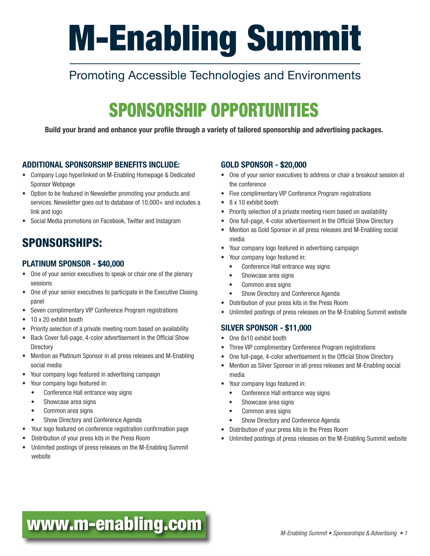# M-Enabling Summit

# Promoting Accessible Technologies and Environments

# SPONSORSHIP OPPORTUNITIES

Build your brand and enhance your profile through a variety of tailored sponsorship and advertising packages.

#### ADDITIONAL SPONSORSHIP BENEFITS INCLUDE:

- Company Logo hyperlinked on M-Enabling Homepage & Dedicated Sponsor Webpage
- Option to be featured in Newsletter promoting your products and services. Newsletter goes out to database of 10,000+ and includes a link and logo
- Social Media promotions on Facebook, Twitter and Instagram

### SPONSORSHIPS:

#### PLATINUM SPONSOR - \$40,000

- One of your senior executives to speak or chair one of the plenary sessions
- One of your senior executives to participate in the Executive Closing panel
- Seven complimentary VIP Conference Program registrations
- 10 x 20 exhibit booth
- Priority selection of a private meeting room based on availability
- Back Cover full-page, 4-color advertisement in the Official Show **Directory**
- Mention as Platinum Sponsor in all press releases and M-Enabling social media
- Your company logo featured in advertising campaign
- Your company logo featured in:
	- Conference Hall entrance way signs
	- Showcase area signs
	- Common area signs
	- Show Directory and Conference Agenda
- Your logo featured on conference registration confirmation page
- Distribution of your press kits in the Press Room
- Unlimited postings of press releases on the M-Enabling Summit website

#### GOLD SPONSOR - \$20,000

- One of your senior executives to address or chair a breakout session at the conference
- Five complimentary VIP Conference Program registrations
- 8 x 10 exhibit booth
- Priority selection of a private meeting room based on availability
- One full-page, 4-color advertisement in the Official Show Directory
- Mention as Gold Sponsor in all press releases and M-Enabling social media
- Your company logo featured in advertising campaign
- Your company logo featured in:
- Conference Hall entrance way signs
- Showcase area signs
- Common area signs
- Show Directory and Conference Agenda
- Distribution of your press kits in the Press Room
- Unlimited postings of press releases on the M-Enabling Summit website

#### SILVER SPONSOR - \$11,000

- One 8x10 exhibit booth
- Three VIP complimentary Conference Program registrations
- One full-page, 4-color advertisement in the Official Show Directory
- Mention as Silver Sponsor in all press releases and M-Enabling social media
- Your company logo featured in:
	- Conference Hall entrance way signs
	- Showcase area signs
	- Common area signs
	- Show Directory and Conference Agenda
- Distribution of your press kits in the Press Room
- Unlimited postings of press releases on the M-Enabling Summit website

# [www.m-enabling.com](http://www.m-enabling.com) *M-Enabling Summit • Sponsorships & Advertising • 1*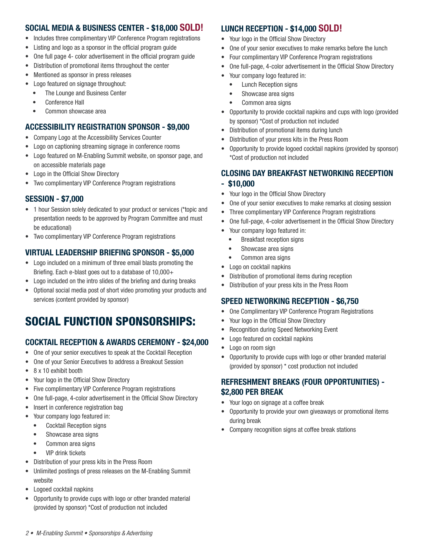#### SOCIAL MEDIA & BUSINESS CENTER - \$18,000 SOLD!

- Includes three complimentary VIP Conference Program registrations
- Listing and logo as a sponsor in the official program guide
- One full page 4- color advertisement in the official program guide
- Distribution of promotional items throughout the center
- Mentioned as sponsor in press releases
- Logo featured on signage throughout:
	- The Lounge and Business Center
	- Conference Hall
	- Common showcase area

#### ACCESSIBILITY REGISTRATION SPONSOR - \$9,000

- Company Logo at the Accessibility Services Counter
- Logo on captioning streaming signage in conference rooms
- Logo featured on M-Enabling Summit website, on sponsor page, and on accessible materials page
- Logo in the Official Show Directory
- Two complimentary VIP Conference Program registrations

#### SESSION - \$7,000

- 1 hour Session solely dedicated to your product or services (\*topic and presentation needs to be approved by Program Committee and must be educational)
- Two complimentary VIP Conference Program registrations

#### VIRTUAL LEADERSHIP BRIEFING SPONSOR - \$5,000

- Logo included on a minimum of three email blasts promoting the Briefing. Each e-blast goes out to a database of 10,000+
- Logo included on the intro slides of the briefing and during breaks
- Optional social media post of short video promoting your products and services (content provided by sponsor)

## SOCIAL FUNCTION SPONSORSHIPS:

#### COCKTAIL RECEPTION & AWARDS CEREMONY - \$24,000

- One of your senior executives to speak at the Cocktail Reception
- One of your Senior Executives to address a Breakout Session
- 8 x 10 exhibit booth
- Your logo in the Official Show Directory
- Five complimentary VIP Conference Program registrations
- One full-page, 4-color advertisement in the Official Show Directory
- Insert in conference registration bag
- Your company logo featured in:
	- Cocktail Reception signs
	- Showcase area signs
	- Common area signs
	- VIP drink tickets
- Distribution of your press kits in the Press Room
- Unlimited postings of press releases on the M-Enabling Summit website
- Logoed cocktail napkins
- Opportunity to provide cups with logo or other branded material (provided by sponsor) \*Cost of production not included

#### LUNCH RECEPTION - \$14,000 SOLD!

- Your logo in the Official Show Directory
- One of your senior executives to make remarks before the lunch
- Four complimentary VIP Conference Program registrations
- One full-page, 4-color advertisement in the Official Show Directory
- Your company logo featured in:
	- Lunch Reception signs
	- Showcase area signs
	- Common area signs
- Opportunity to provide cocktail napkins and cups with logo (provided by sponsor) \*Cost of production not included
- Distribution of promotional items during lunch
- Distribution of your press kits in the Press Room
- Opportunity to provide logoed cocktail napkins (provided by sponsor) \*Cost of production not included

#### CLOSING DAY BREAKFAST NETWORKING RECEPTION - \$10,000

- Your logo in the Official Show Directory
- One of your senior executives to make remarks at closing session
- Three complimentary VIP Conference Program registrations
- One full-page, 4-color advertisement in the Official Show Directory
- Your company logo featured in:
	- Breakfast reception signs
	- Showcase area signs
- Common area signs
- Logo on cocktail napkins
- Distribution of promotional items during reception
- Distribution of your press kits in the Press Room

#### SPEED NETWORKING RECEPTION - \$6,750

- One Complimentary VIP Conference Program Registrations
- Your logo in the Official Show Directory
- Recognition during Speed Networking Event
- Logo featured on cocktail napkins
- Logo on room sign
- Opportunity to provide cups with logo or other branded material (provided by sponsor) \* cost production not included

#### REFRESHMENT BREAKS (FOUR OPPORTUNITIES) - \$2,800 PER BREAK

- Your logo on signage at a coffee break
- Opportunity to provide your own giveaways or promotional items during break
- Company recognition signs at coffee break stations